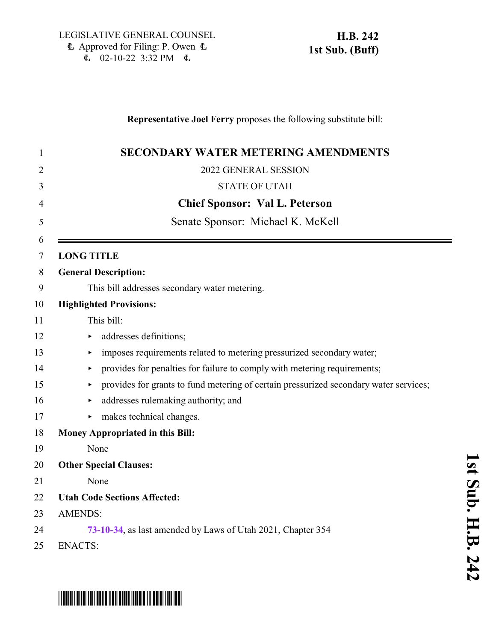### **Representative Joel Ferry** proposes the following substitute bill:

| 1  | <b>SECONDARY WATER METERING AMENDMENTS</b>                                                 |
|----|--------------------------------------------------------------------------------------------|
| 2  | 2022 GENERAL SESSION                                                                       |
| 3  | <b>STATE OF UTAH</b>                                                                       |
| 4  | <b>Chief Sponsor: Val L. Peterson</b>                                                      |
| 5  | Senate Sponsor: Michael K. McKell                                                          |
| 6  |                                                                                            |
| 7  | <b>LONG TITLE</b>                                                                          |
| 8  | <b>General Description:</b>                                                                |
| 9  | This bill addresses secondary water metering.                                              |
| 10 | <b>Highlighted Provisions:</b>                                                             |
| 11 | This bill:                                                                                 |
| 12 | addresses definitions;                                                                     |
| 13 | imposes requirements related to metering pressurized secondary water;<br>▶                 |
| 14 | provides for penalties for failure to comply with metering requirements;<br>▶              |
| 15 | provides for grants to fund metering of certain pressurized secondary water services;<br>▶ |
| 16 | addresses rulemaking authority; and<br>×                                                   |
| 17 | makes technical changes.                                                                   |
| 18 | Money Appropriated in this Bill:                                                           |
| 19 | None                                                                                       |
| 20 | <b>Other Special Clauses:</b>                                                              |
| 21 | None                                                                                       |
| 22 | <b>Utah Code Sections Affected:</b>                                                        |
| 23 | <b>AMENDS:</b>                                                                             |
| 24 | 73-10-34, as last amended by Laws of Utah 2021, Chapter 354                                |
| 25 | <b>ENACTS:</b>                                                                             |

# \*HB0242S01\*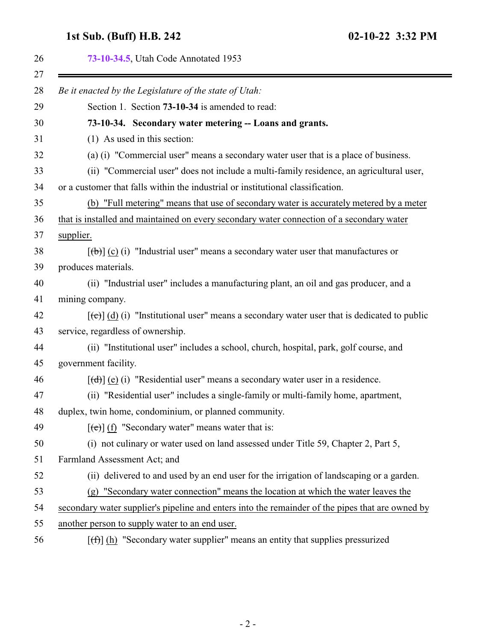<span id="page-1-0"></span>

| 26       | 73-10-34.5, Utah Code Annotated 1953                                                                         |
|----------|--------------------------------------------------------------------------------------------------------------|
| 27<br>28 | Be it enacted by the Legislature of the state of Utah:                                                       |
| 29       | Section 1. Section 73-10-34 is amended to read:                                                              |
| 30       | 73-10-34. Secondary water metering -- Loans and grants.                                                      |
| 31       | (1) As used in this section:                                                                                 |
| 32       | (a) (i) "Commercial user" means a secondary water user that is a place of business.                          |
| 33       | (ii) "Commercial user" does not include a multi-family residence, an agricultural user,                      |
| 34       | or a customer that falls within the industrial or institutional classification.                              |
| 35       | (b) "Full metering" means that use of secondary water is accurately metered by a meter                       |
| 36       | that is installed and maintained on every secondary water connection of a secondary water                    |
| 37       | supplier.                                                                                                    |
| 38       | $[\text{(-b)}]$ (c) (i) "Industrial user" means a secondary water user that manufactures or                  |
| 39       | produces materials.                                                                                          |
| 40       | (ii) "Industrial user" includes a manufacturing plant, an oil and gas producer, and a                        |
| 41       | mining company.                                                                                              |
| 42       | $[\text{e}(\text{e})]$ (d) (i) "Institutional user" means a secondary water user that is dedicated to public |
| 43       | service, regardless of ownership.                                                                            |
| 44       | (ii) "Institutional user" includes a school, church, hospital, park, golf course, and                        |
| 45       | government facility.                                                                                         |
| 46       | $[\text{(\text{d})}]$ (e) (i) "Residential user" means a secondary water user in a residence.                |
| 47       | (ii) "Residential user" includes a single-family or multi-family home, apartment,                            |
| 48       | duplex, twin home, condominium, or planned community.                                                        |
| 49       | $[\text{e}(\text{e})]$ (f) "Secondary water" means water that is:                                            |
| 50       | (i) not culinary or water used on land assessed under Title 59, Chapter 2, Part 5,                           |
| 51       | Farmland Assessment Act; and                                                                                 |
| 52       | (ii) delivered to and used by an end user for the irrigation of landscaping or a garden.                     |
| 53       | (g) "Secondary water connection" means the location at which the water leaves the                            |
| 54       | secondary water supplier's pipeline and enters into the remainder of the pipes that are owned by             |
| 55       | another person to supply water to an end user.                                                               |

56  $[(f)] (h)$  "Secondary water supplier" means an entity that supplies pressurized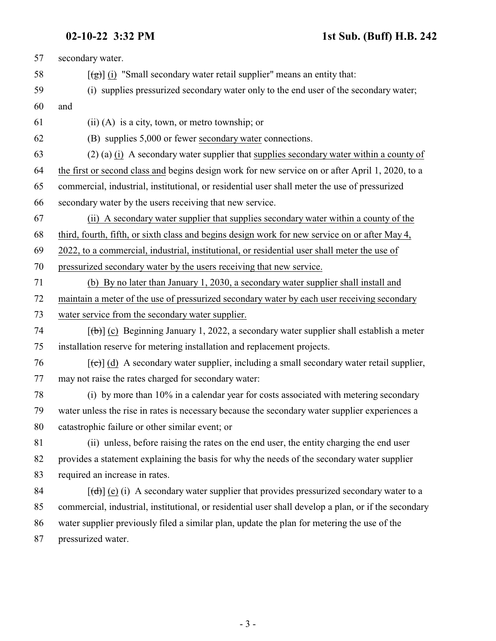| 57 | secondary water.                                                                                          |
|----|-----------------------------------------------------------------------------------------------------------|
| 58 | $[(\frac{1}{2})]$ (i) "Small secondary water retail supplier" means an entity that:                       |
| 59 | (i) supplies pressurized secondary water only to the end user of the secondary water;                     |
| 60 | and                                                                                                       |
| 61 | $(ii)$ (A) is a city, town, or metro township; or                                                         |
| 62 | (B) supplies 5,000 or fewer secondary water connections.                                                  |
| 63 | $(2)$ (a) (i) A secondary water supplier that supplies secondary water within a county of                 |
| 64 | the first or second class and begins design work for new service on or after April 1, 2020, to a          |
| 65 | commercial, industrial, institutional, or residential user shall meter the use of pressurized             |
| 66 | secondary water by the users receiving that new service.                                                  |
| 67 | (ii) A secondary water supplier that supplies secondary water within a county of the                      |
| 68 | third, fourth, fifth, or sixth class and begins design work for new service on or after May 4,            |
| 69 | 2022, to a commercial, industrial, institutional, or residential user shall meter the use of              |
| 70 | pressurized secondary water by the users receiving that new service.                                      |
| 71 | (b) By no later than January 1, 2030, a secondary water supplier shall install and                        |
| 72 | maintain a meter of the use of pressurized secondary water by each user receiving secondary               |
| 73 | water service from the secondary water supplier.                                                          |
| 74 | $[\text{(+)}]$ (c) Beginning January 1, 2022, a secondary water supplier shall establish a meter          |
| 75 | installation reserve for metering installation and replacement projects.                                  |
| 76 | $[\text{e}(\text{e})]$ (d) A secondary water supplier, including a small secondary water retail supplier, |
| 77 | may not raise the rates charged for secondary water:                                                      |
| 78 | (i) by more than 10% in a calendar year for costs associated with metering secondary                      |
| 79 | water unless the rise in rates is necessary because the secondary water supplier experiences a            |
| 80 | catastrophic failure or other similar event; or                                                           |
| 81 | (ii) unless, before raising the rates on the end user, the entity charging the end user                   |
| 82 | provides a statement explaining the basis for why the needs of the secondary water supplier               |
| 83 | required an increase in rates.                                                                            |
| 84 | $[\text{(\text{d})}]$ (e) (i) A secondary water supplier that provides pressurized secondary water to a   |
| 85 | commercial, industrial, institutional, or residential user shall develop a plan, or if the secondary      |
| 86 | water supplier previously filed a similar plan, update the plan for metering the use of the               |
| 87 | pressurized water.                                                                                        |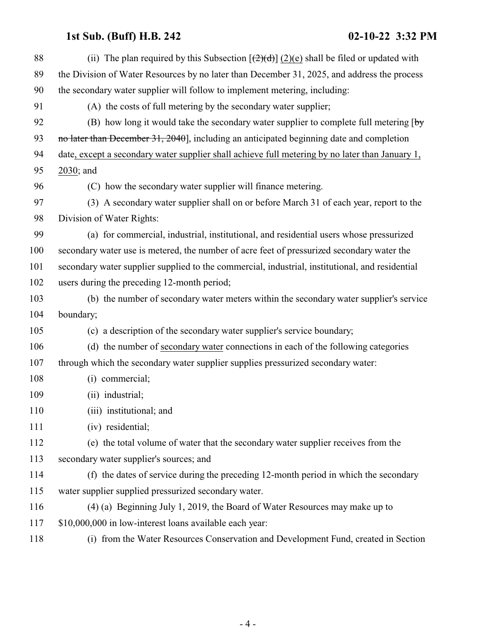| 88  | (ii) The plan required by this Subsection $\left[\frac{2}{2}\right]\frac{d}{2}$ (2)(e) shall be filed or updated with |
|-----|-----------------------------------------------------------------------------------------------------------------------|
| 89  | the Division of Water Resources by no later than December 31, 2025, and address the process                           |
| 90  | the secondary water supplier will follow to implement metering, including:                                            |
| 91  | (A) the costs of full metering by the secondary water supplier;                                                       |
| 92  | (B) how long it would take the secondary water supplier to complete full metering $\lceil \frac{b_y}{c} \rceil$       |
| 93  | no later than December 31, 2040], including an anticipated beginning date and completion                              |
| 94  | date, except a secondary water supplier shall achieve full metering by no later than January 1,                       |
| 95  | $2030$ ; and                                                                                                          |
| 96  | (C) how the secondary water supplier will finance metering.                                                           |
| 97  | (3) A secondary water supplier shall on or before March 31 of each year, report to the                                |
| 98  | Division of Water Rights:                                                                                             |
| 99  | (a) for commercial, industrial, institutional, and residential users whose pressurized                                |
| 100 | secondary water use is metered, the number of acre feet of pressurized secondary water the                            |
| 101 | secondary water supplier supplied to the commercial, industrial, institutional, and residential                       |
| 102 | users during the preceding 12-month period;                                                                           |
| 103 | (b) the number of secondary water meters within the secondary water supplier's service                                |
| 104 | boundary;                                                                                                             |
| 105 | (c) a description of the secondary water supplier's service boundary;                                                 |
| 106 | (d) the number of secondary water connections in each of the following categories                                     |
| 107 | through which the secondary water supplier supplies pressurized secondary water:                                      |
| 108 | (i) commercial;                                                                                                       |
| 109 | (ii) industrial;                                                                                                      |
| 110 | (iii) institutional; and                                                                                              |
| 111 | (iv) residential;                                                                                                     |
| 112 | (e) the total volume of water that the secondary water supplier receives from the                                     |
| 113 | secondary water supplier's sources; and                                                                               |
| 114 | (f) the dates of service during the preceding 12-month period in which the secondary                                  |
| 115 | water supplier supplied pressurized secondary water.                                                                  |
| 116 | (4) (a) Beginning July 1, 2019, the Board of Water Resources may make up to                                           |
| 117 | \$10,000,000 in low-interest loans available each year:                                                               |
| 118 | (i) from the Water Resources Conservation and Development Fund, created in Section                                    |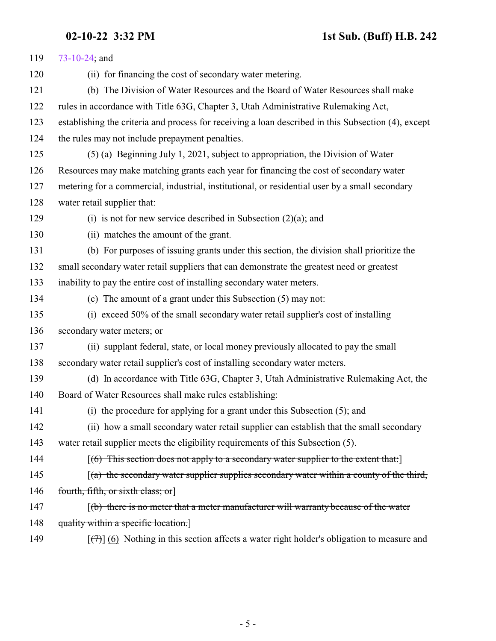**02-10-22 3:32 PM 1st Sub. (Buff) H.B. 242**

| 119 | $73 - 10 - 24$ ; and                                                                                      |
|-----|-----------------------------------------------------------------------------------------------------------|
| 120 | (ii) for financing the cost of secondary water metering.                                                  |
| 121 | (b) The Division of Water Resources and the Board of Water Resources shall make                           |
| 122 | rules in accordance with Title 63G, Chapter 3, Utah Administrative Rulemaking Act,                        |
| 123 | establishing the criteria and process for receiving a loan described in this Subsection (4), except       |
| 124 | the rules may not include prepayment penalties.                                                           |
| 125 | $(5)$ (a) Beginning July 1, 2021, subject to appropriation, the Division of Water                         |
| 126 | Resources may make matching grants each year for financing the cost of secondary water                    |
| 127 | metering for a commercial, industrial, institutional, or residential user by a small secondary            |
| 128 | water retail supplier that:                                                                               |
| 129 | (i) is not for new service described in Subsection $(2)(a)$ ; and                                         |
| 130 | (ii) matches the amount of the grant.                                                                     |
| 131 | (b) For purposes of issuing grants under this section, the division shall prioritize the                  |
| 132 | small secondary water retail suppliers that can demonstrate the greatest need or greatest                 |
| 133 | inability to pay the entire cost of installing secondary water meters.                                    |
| 134 | (c) The amount of a grant under this Subsection (5) may not:                                              |
| 135 | (i) exceed 50% of the small secondary water retail supplier's cost of installing                          |
| 136 | secondary water meters; or                                                                                |
| 137 | (ii) supplant federal, state, or local money previously allocated to pay the small                        |
| 138 | secondary water retail supplier's cost of installing secondary water meters.                              |
| 139 | (d) In accordance with Title 63G, Chapter 3, Utah Administrative Rulemaking Act, the                      |
| 140 | Board of Water Resources shall make rules establishing:                                                   |
| 141 | (i) the procedure for applying for a grant under this Subsection (5); and                                 |
| 142 | (ii) how a small secondary water retail supplier can establish that the small secondary                   |
| 143 | water retail supplier meets the eligibility requirements of this Subsection (5).                          |
| 144 | $(6)$ This section does not apply to a secondary water supplier to the extent that:                       |
| 145 | $(a)$ the secondary water supplier supplies secondary water within a county of the third,                 |
| 146 | fourth, fifth, or sixth class; or                                                                         |
| 147 | $\left[\frac{b}{b}\right]$ there is no meter that a meter manufacturer will warranty because of the water |
| 148 | quality within a specific location.                                                                       |
| 149 | $[\overline{(+)}]$ (6) Nothing in this section affects a water right holder's obligation to measure and   |
|     |                                                                                                           |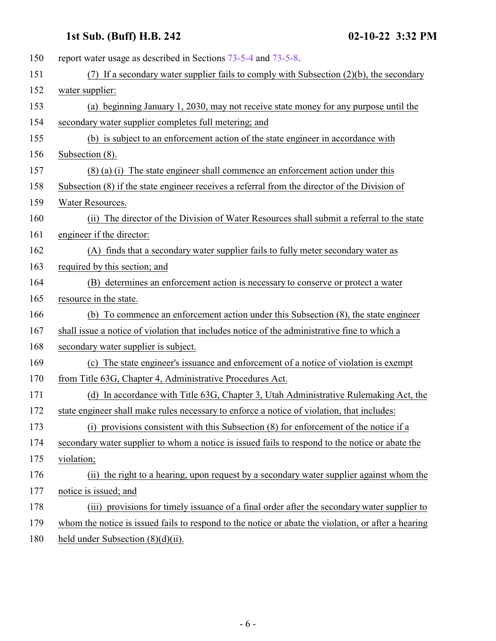| 150 | report water usage as described in Sections 73-5-4 and 73-5-8.                                      |
|-----|-----------------------------------------------------------------------------------------------------|
| 151 | (7) If a secondary water supplier fails to comply with Subsection (2)(b), the secondary             |
| 152 | water supplier:                                                                                     |
| 153 | (a) beginning January 1, 2030, may not receive state money for any purpose until the                |
| 154 | secondary water supplier completes full metering; and                                               |
| 155 | (b) is subject to an enforcement action of the state engineer in accordance with                    |
| 156 | Subsection (8).                                                                                     |
| 157 | $(8)$ (a) (i) The state engineer shall commence an enforcement action under this                    |
| 158 | Subsection (8) if the state engineer receives a referral from the director of the Division of       |
| 159 | Water Resources.                                                                                    |
| 160 | The director of the Division of Water Resources shall submit a referral to the state<br>(ii)        |
| 161 | engineer if the director:                                                                           |
| 162 | (A) finds that a secondary water supplier fails to fully meter secondary water as                   |
| 163 | required by this section; and                                                                       |
| 164 | (B) determines an enforcement action is necessary to conserve or protect a water                    |
| 165 | resource in the state.                                                                              |
| 166 | (b) To commence an enforcement action under this Subsection (8), the state engineer                 |
| 167 | shall issue a notice of violation that includes notice of the administrative fine to which a        |
| 168 | secondary water supplier is subject.                                                                |
| 169 | (c) The state engineer's issuance and enforcement of a notice of violation is exempt                |
| 170 | from Title 63G, Chapter 4, Administrative Procedures Act.                                           |
| 171 | (d) In accordance with Title 63G, Chapter 3, Utah Administrative Rulemaking Act, the                |
| 172 | state engineer shall make rules necessary to enforce a notice of violation, that includes:          |
| 173 | (i) provisions consistent with this Subsection (8) for enforcement of the notice if a               |
| 174 | secondary water supplier to whom a notice is issued fails to respond to the notice or abate the     |
| 175 | violation;                                                                                          |
| 176 | (ii) the right to a hearing, upon request by a secondary water supplier against whom the            |
| 177 | notice is issued; and                                                                               |
| 178 | (iii) provisions for timely issuance of a final order after the secondary water supplier to         |
| 179 | whom the notice is issued fails to respond to the notice or abate the violation, or after a hearing |
| 180 | held under Subsection $(8)(d)(ii)$ .                                                                |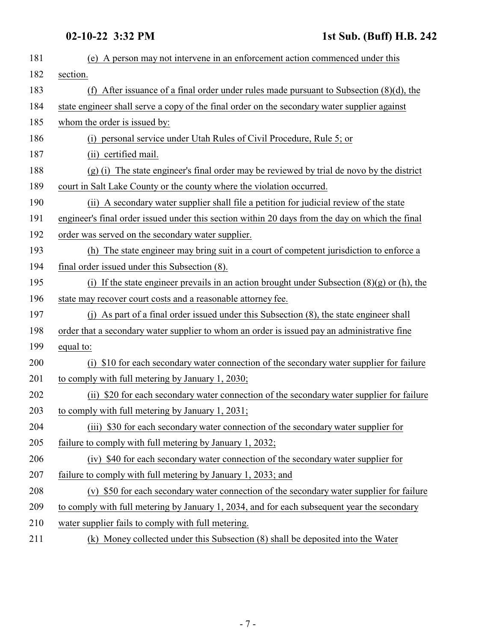| 181 | (e) A person may not intervene in an enforcement action commenced under this                    |
|-----|-------------------------------------------------------------------------------------------------|
| 182 | section.                                                                                        |
| 183 | After issuance of a final order under rules made pursuant to Subsection $(8)(d)$ , the<br>(f)   |
| 184 | state engineer shall serve a copy of the final order on the secondary water supplier against    |
| 185 | whom the order is issued by:                                                                    |
| 186 | (i) personal service under Utah Rules of Civil Procedure, Rule 5; or                            |
| 187 | (ii) certified mail.                                                                            |
| 188 | $(g)$ (i) The state engineer's final order may be reviewed by trial de novo by the district     |
| 189 | court in Salt Lake County or the county where the violation occurred.                           |
| 190 | (ii) A secondary water supplier shall file a petition for judicial review of the state          |
| 191 | engineer's final order issued under this section within 20 days from the day on which the final |
| 192 | order was served on the secondary water supplier.                                               |
| 193 | (h) The state engineer may bring suit in a court of competent jurisdiction to enforce a         |
| 194 | final order issued under this Subsection (8).                                                   |
| 195 | (i) If the state engineer prevails in an action brought under Subsection $(8)(g)$ or (h), the   |
| 196 | state may recover court costs and a reasonable attorney fee.                                    |
| 197 | (j) As part of a final order issued under this Subsection (8), the state engineer shall         |
| 198 | order that a secondary water supplier to whom an order is issued pay an administrative fine     |
| 199 | equal to:                                                                                       |
| 200 | (i) \$10 for each secondary water connection of the secondary water supplier for failure        |
| 201 | to comply with full metering by January 1, 2030;                                                |
| 202 | (ii) \$20 for each secondary water connection of the secondary water supplier for failure       |
| 203 | to comply with full metering by January 1, 2031;                                                |
| 204 | (iii) \$30 for each secondary water connection of the secondary water supplier for              |
| 205 | failure to comply with full metering by January 1, 2032;                                        |
| 206 | (iv) \$40 for each secondary water connection of the secondary water supplier for               |
| 207 | failure to comply with full metering by January 1, 2033; and                                    |
| 208 | (v) \$50 for each secondary water connection of the secondary water supplier for failure        |
| 209 | to comply with full metering by January 1, 2034, and for each subsequent year the secondary     |
| 210 | water supplier fails to comply with full metering.                                              |
|     |                                                                                                 |

211 (k) Money collected under this Subsection (8) shall be deposited into the Water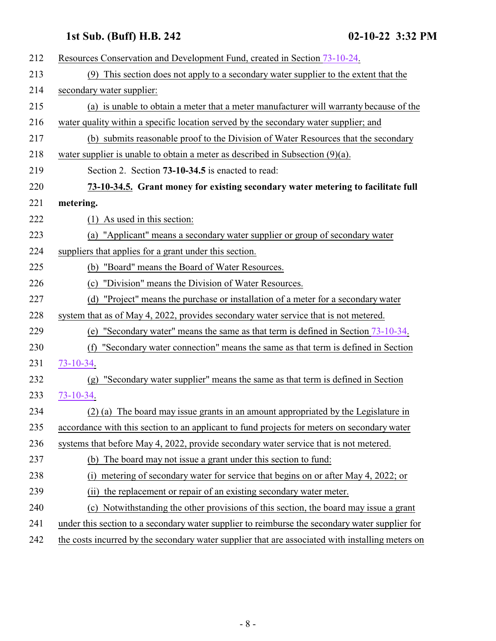<span id="page-7-0"></span>

| 212 | Resources Conservation and Development Fund, created in Section 73-10-24.                        |
|-----|--------------------------------------------------------------------------------------------------|
| 213 | (9) This section does not apply to a secondary water supplier to the extent that the             |
| 214 | secondary water supplier:                                                                        |
| 215 | (a) is unable to obtain a meter that a meter manufacturer will warranty because of the           |
| 216 | water quality within a specific location served by the secondary water supplier; and             |
| 217 | (b) submits reasonable proof to the Division of Water Resources that the secondary               |
| 218 | water supplier is unable to obtain a meter as described in Subsection $(9)(a)$ .                 |
| 219 | Section 2. Section 73-10-34.5 is enacted to read:                                                |
| 220 | 73-10-34.5. Grant money for existing secondary water metering to facilitate full                 |
| 221 | metering.                                                                                        |
| 222 | As used in this section:<br>(1)                                                                  |
| 223 | (a) "Applicant" means a secondary water supplier or group of secondary water                     |
| 224 | suppliers that applies for a grant under this section.                                           |
| 225 | (b) "Board" means the Board of Water Resources.                                                  |
| 226 | "Division" means the Division of Water Resources.<br>(c)                                         |
| 227 | (d) "Project" means the purchase or installation of a meter for a secondary water                |
| 228 | system that as of May 4, 2022, provides secondary water service that is not metered.             |
| 229 | (e) "Secondary water" means the same as that term is defined in Section $73-10-34$ .             |
| 230 | "Secondary water connection" means the same as that term is defined in Section<br>(f)            |
| 231 | $73 - 10 - 34.$                                                                                  |
| 232 | "Secondary water supplier" means the same as that term is defined in Section<br>(g)              |
| 233 | 73-10-34.                                                                                        |
| 234 | (2) (a) The board may issue grants in an amount appropriated by the Legislature in               |
| 235 | accordance with this section to an applicant to fund projects for meters on secondary water      |
| 236 | systems that before May 4, 2022, provide secondary water service that is not metered.            |
| 237 | The board may not issue a grant under this section to fund:<br>(b)                               |
| 238 | metering of secondary water for service that begins on or after May 4, 2022; or<br>(1)           |
| 239 | (ii) the replacement or repair of an existing secondary water meter.                             |
| 240 | Notwithstanding the other provisions of this section, the board may issue a grant<br>(c)         |
| 241 | under this section to a secondary water supplier to reimburse the secondary water supplier for   |
| 242 | the costs incurred by the secondary water supplier that are associated with installing meters on |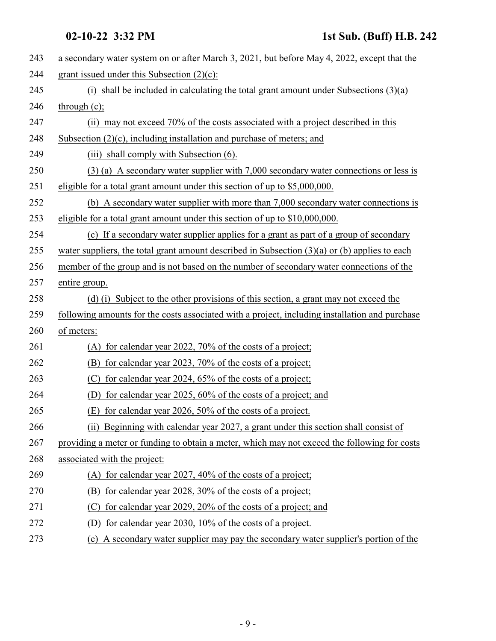| 243 | a secondary water system on or after March 3, 2021, but before May 4, 2022, except that the     |
|-----|-------------------------------------------------------------------------------------------------|
| 244 | grant issued under this Subsection $(2)(c)$ :                                                   |
| 245 | (i) shall be included in calculating the total grant amount under Subsections $(3)(a)$          |
| 246 | through $(c)$ ;                                                                                 |
| 247 | (ii) may not exceed 70% of the costs associated with a project described in this                |
| 248 | Subsection $(2)(c)$ , including installation and purchase of meters; and                        |
| 249 | shall comply with Subsection (6).<br>(iii)                                                      |
| 250 | $(3)$ (a) A secondary water supplier with 7,000 secondary water connections or less is          |
| 251 | eligible for a total grant amount under this section of up to \$5,000,000.                      |
| 252 | (b) A secondary water supplier with more than 7,000 secondary water connections is              |
| 253 | eligible for a total grant amount under this section of up to \$10,000,000.                     |
| 254 | (c) If a secondary water supplier applies for a grant as part of a group of secondary           |
| 255 | water suppliers, the total grant amount described in Subsection $(3)(a)$ or (b) applies to each |
| 256 | member of the group and is not based on the number of secondary water connections of the        |
| 257 | entire group.                                                                                   |
| 258 | (d) (i) Subject to the other provisions of this section, a grant may not exceed the             |
| 259 | following amounts for the costs associated with a project, including installation and purchase  |
| 260 | of meters:                                                                                      |
| 261 | for calendar year 2022, 70% of the costs of a project;<br>(A)                                   |
| 262 | (B)<br>for calendar year 2023, 70% of the costs of a project;                                   |
| 263 | (C)<br>for calendar year 2024, 65% of the costs of a project;                                   |
| 264 | for calendar year 2025, 60% of the costs of a project; and<br>(D)                               |
| 265 | (E) for calendar year 2026, 50% of the costs of a project.                                      |
| 266 | (ii) Beginning with calendar year 2027, a grant under this section shall consist of             |
| 267 | providing a meter or funding to obtain a meter, which may not exceed the following for costs    |
| 268 | associated with the project:                                                                    |
| 269 | for calendar year 2027, 40% of the costs of a project;<br>(A)                                   |
| 270 | for calendar year 2028, 30% of the costs of a project;<br>(B)                                   |
| 271 | for calendar year 2029, 20% of the costs of a project; and                                      |
| 272 | for calendar year 2030, $10\%$ of the costs of a project.<br>(D)                                |
| 273 | A secondary water supplier may pay the secondary water supplier's portion of the<br>(e)         |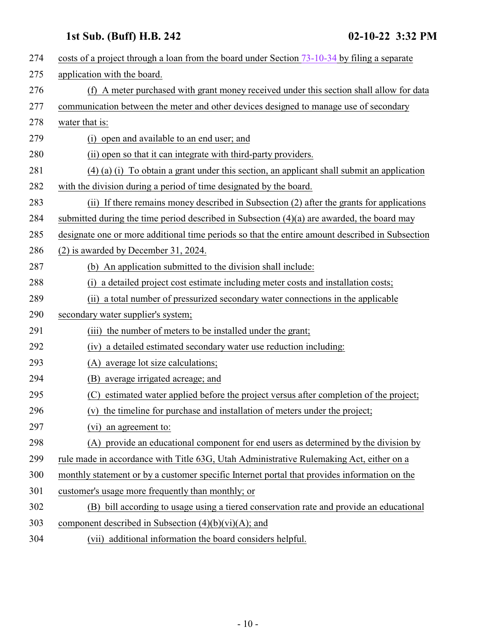| 274 | costs of a project through a loan from the board under Section 73-10-34 by filing a separate    |
|-----|-------------------------------------------------------------------------------------------------|
| 275 | application with the board.                                                                     |
| 276 | (f) A meter purchased with grant money received under this section shall allow for data         |
| 277 | communication between the meter and other devices designed to manage use of secondary           |
| 278 | water that is:                                                                                  |
| 279 | (i) open and available to an end user; and                                                      |
| 280 | (ii) open so that it can integrate with third-party providers.                                  |
| 281 | $(4)$ (a) (i) To obtain a grant under this section, an applicant shall submit an application    |
| 282 | with the division during a period of time designated by the board.                              |
| 283 | (ii) If there remains money described in Subsection (2) after the grants for applications       |
| 284 | submitted during the time period described in Subsection (4)(a) are awarded, the board may      |
| 285 | designate one or more additional time periods so that the entire amount described in Subsection |
| 286 | (2) is awarded by December 31, 2024.                                                            |
| 287 | (b) An application submitted to the division shall include:                                     |
| 288 | (i) a detailed project cost estimate including meter costs and installation costs;              |
| 289 | (ii) a total number of pressurized secondary water connections in the applicable                |
| 290 | secondary water supplier's system;                                                              |
| 291 | (iii) the number of meters to be installed under the grant;                                     |
| 292 | (iv) a detailed estimated secondary water use reduction including:                              |
| 293 | (A) average lot size calculations;                                                              |
| 294 | (B) average irrigated acreage; and                                                              |
| 295 | estimated water applied before the project versus after completion of the project;<br>(C)       |
| 296 | (v) the timeline for purchase and installation of meters under the project;                     |
| 297 | (vi) an agreement to:                                                                           |
| 298 | (A) provide an educational component for end users as determined by the division by             |
| 299 | rule made in accordance with Title 63G, Utah Administrative Rulemaking Act, either on a         |
| 300 | monthly statement or by a customer specific Internet portal that provides information on the    |
| 301 | customer's usage more frequently than monthly; or                                               |
| 302 | (B) bill according to usage using a tiered conservation rate and provide an educational         |
| 303 | component described in Subsection $(4)(b)(vi)(A)$ ; and                                         |
| 304 | additional information the board considers helpful.<br>(vii)                                    |